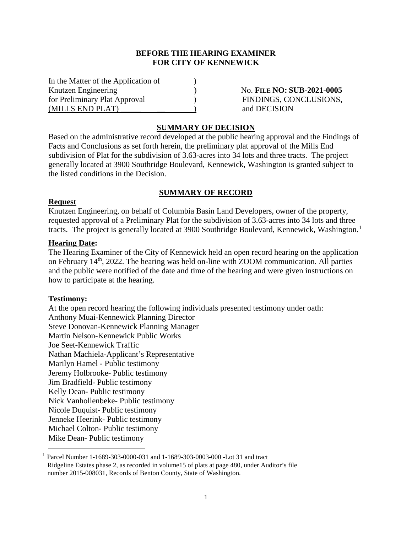## **BEFORE THE HEARING EXAMINER FOR CITY OF KENNEWICK**

In the Matter of the Application of ) Knutzen Engineering ) No. **FILE NO: SUB-2021-0005** for Preliminary Plat Approval (and  $\blacksquare$ ) FINDINGS, CONCLUSIONS, (MILLS END PLAT) and DECISION

#### **SUMMARY OF DECISION**

Based on the administrative record developed at the public hearing approval and the Findings of Facts and Conclusions as set forth herein, the preliminary plat approval of the Mills End subdivision of Plat for the subdivision of 3.63-acres into 34 lots and three tracts. The project generally located at 3900 Southridge Boulevard, Kennewick, Washington is granted subject to the listed conditions in the Decision.

## **SUMMARY OF RECORD**

#### **Request**

Knutzen Engineering, on behalf of Columbia Basin Land Developers, owner of the property, requested approval of a Preliminary Plat for the subdivision of 3.63-acres into 34 lots and three tracts. The project is generally located at 3900 Southridge Boulevard, Kennewick, Washington.<sup>[1](#page-0-0)</sup>

#### **Hearing Date:**

The Hearing Examiner of the City of Kennewick held an open record hearing on the application on February 14<sup>th</sup>, 2022. The hearing was held on-line with ZOOM communication. All parties and the public were notified of the date and time of the hearing and were given instructions on how to participate at the hearing.

#### **Testimony:**

At the open record hearing the following individuals presented testimony under oath: Anthony Muai-Kennewick Planning Director Steve Donovan-Kennewick Planning Manager Martin Nelson-Kennewick Public Works Joe Seet-Kennewick Traffic Nathan Machiela-Applicant's Representative Marilyn Hamel - Public testimony Jeremy Holbrooke- Public testimony Jim Bradfield- Public testimony Kelly Dean- Public testimony Nick Vanhollenbeke- Public testimony Nicole Duquist- Public testimony Jenneke Heerink- Public testimony Michael Colton- Public testimony Mike Dean- Public testimony

<span id="page-0-0"></span> <sup>1</sup> Parcel Number 1-1689-303-0000-031 and 1-1689-303-0003-000 -Lot 31 and tract Ridgeline Estates phase 2, as recorded in volume15 of plats at page 480, under Auditor's file number 2015-008031, Records of Benton County, State of Washington.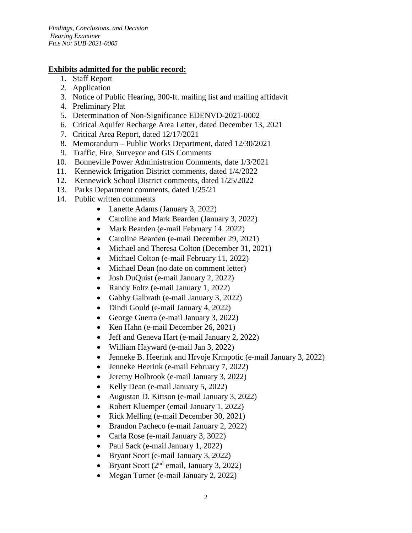## **Exhibits admitted for the public record:**

- 1. Staff Report
- 2. Application
- 3. Notice of Public Hearing, 300-ft. mailing list and mailing affidavit
- 4. Preliminary Plat
- 5. Determination of Non-Significance EDENVD-2021-0002
- 6. Critical Aquifer Recharge Area Letter, dated December 13, 2021
- 7. Critical Area Report, dated 12/17/2021
- 8. Memorandum Public Works Department, dated 12/30/2021
- 9. Traffic, Fire, Surveyor and GIS Comments
- 10. Bonneville Power Administration Comments, date 1/3/2021
- 11. Kennewick Irrigation District comments, dated 1/4/2022
- 12. Kennewick School District comments, dated 1/25/2022
- 13. Parks Department comments, dated 1/25/21
- 14. Public written comments
	- Lanette Adams (January 3, 2022)
	- Caroline and Mark Bearden (January 3, 2022)
	- Mark Bearden (e-mail February 14. 2022)
	- Caroline Bearden (e-mail December 29, 2021)
	- Michael and Theresa Colton (December 31, 2021)
	- Michael Colton (e-mail February 11, 2022)
	- Michael Dean (no date on comment letter)
	- Josh DuQuist (e-mail January 2, 2022)
	- Randy Foltz (e-mail January 1, 2022)
	- Gabby Galbrath (e-mail January 3, 2022)
	- Dindi Gould (e-mail January 4, 2022)
	- George Guerra (e-mail January 3, 2022)
	- Ken Hahn (e-mail December 26, 2021)
	- Jeff and Geneva Hart (e-mail January 2, 2022)
	- William Hayward (e-mail Jan 3, 2022)
	- Jenneke B. Heerink and Hrvoje Krmpotic (e-mail January 3, 2022)
	- Jenneke Heerink (e-mail February 7, 2022)
	- Jeremy Holbrook (e-mail January 3, 2022)
	- Kelly Dean (e-mail January 5, 2022)
	- Augustan D. Kittson (e-mail January 3, 2022)
	- Robert Kluemper (email January 1, 2022)
	- Rick Melling (e-mail December 30, 2021)
	- Brandon Pacheco (e-mail January 2, 2022)
	- Carla Rose (e-mail January 3, 3022)
	- Paul Sack (e-mail January 1, 2022)
	- Bryant Scott (e-mail January 3, 2022)
	- Bryant Scott ( $2<sup>nd</sup>$  email, January 3, 2022)
	- Megan Turner (e-mail January 2, 2022)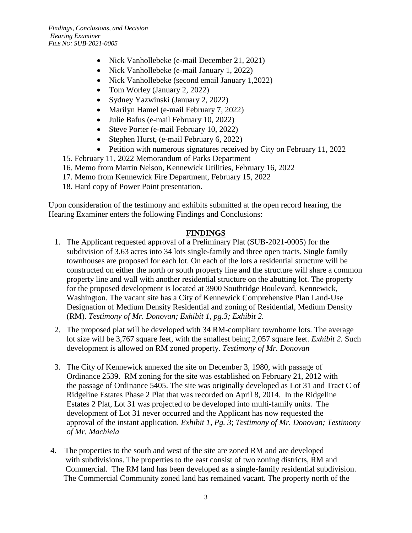- Nick Vanhollebeke (e-mail December 21, 2021)
- Nick Vanhollebeke (e-mail January 1, 2022)
- Nick Vanhollebeke (second email January 1,2022)
- Tom Worley (January 2, 2022)
- Sydney Yazwinski (January 2, 2022)
- Marilyn Hamel (e-mail February 7, 2022)
- Julie Bafus (e-mail February 10, 2022)
- Steve Porter (e-mail February 10, 2022)
- Stephen Hurst, (e-mail February 6, 2022)
- Petition with numerous signatures received by City on February 11, 2022
- 15. February 11, 2022 Memorandum of Parks Department
- 16. Memo from Martin Nelson, Kennewick Utilities, February 16, 2022
- 17. Memo from Kennewick Fire Department, February 15, 2022
- 18. Hard copy of Power Point presentation.

Upon consideration of the testimony and exhibits submitted at the open record hearing, the Hearing Examiner enters the following Findings and Conclusions:

# **FINDINGS**

- 1. The Applicant requested approval of a Preliminary Plat (SUB-2021-0005) for the subdivision of 3.63 acres into 34 lots single-family and three open tracts. Single family townhouses are proposed for each lot. On each of the lots a residential structure will be constructed on either the north or south property line and the structure will share a common property line and wall with another residential structure on the abutting lot. The property for the proposed development is located at 3900 Southridge Boulevard, Kennewick, Washington. The vacant site has a City of Kennewick Comprehensive Plan Land-Use Designation of Medium Density Residential and zoning of Residential, Medium Density (RM). *Testimony of Mr. Donovan; Exhibit 1, pg.3; Exhibit 2.*
- 2. The proposed plat will be developed with 34 RM-compliant townhome lots. The average lot size will be 3,767 square feet, with the smallest being 2,057 square feet. *Exhibit 2.* Such development is allowed on RM zoned property. *Testimony of Mr. Donovan*
- 3. The City of Kennewick annexed the site on December 3, 1980, with passage of Ordinance 2539. RM zoning for the site was established on February 21, 2012 with the passage of Ordinance 5405. The site was originally developed as Lot 31 and Tract C of Ridgeline Estates Phase 2 Plat that was recorded on April 8, 2014. In the Ridgeline Estates 2 Plat, Lot 31 was projected to be developed into multi-family units. The development of Lot 31 never occurred and the Applicant has now requested the approval of the instant application. *Exhibit 1, Pg. 3*; *Testimony of Mr. Donovan; Testimony of Mr. Machiela*
- 4. The properties to the south and west of the site are zoned RM and are developed with subdivisions. The properties to the east consist of two zoning districts, RM and Commercial. The RM land has been developed as a single-family residential subdivision. The Commercial Community zoned land has remained vacant. The property north of the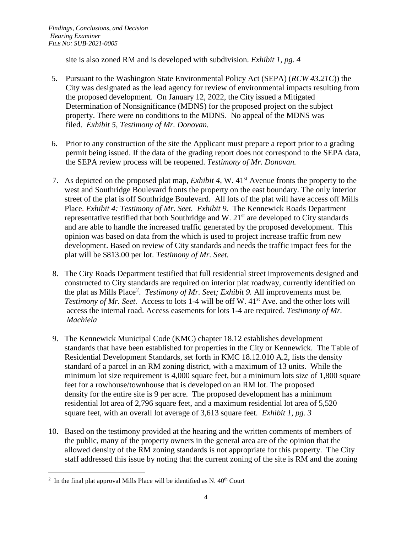site is also zoned RM and is developed with subdivision. *Exhibit 1, pg. 4*

- 5. Pursuant to the Washington State Environmental Policy Act (SEPA) (*RCW 43.21C*)) the City was designated as the lead agency for review of environmental impacts resulting from the proposed development. On January 12, 2022, the City issued a Mitigated Determination of Nonsignificance (MDNS) for the proposed project on the subject property. There were no conditions to the MDNS. No appeal of the MDNS was filed. *Exhibit 5, Testimony of Mr. Donovan.*
- 6. Prior to any construction of the site the Applicant must prepare a report prior to a grading permit being issued. If the data of the grading report does not correspond to the SEPA data, the SEPA review process will be reopened. *Testimony of Mr. Donovan.*
- 7. As depicted on the proposed plat map, *Exhibit 4*, W. 41st Avenue fronts the property to the west and Southridge Boulevard fronts the property on the east boundary. The only interior street of the plat is off Southridge Boulevard. All lots of the plat will have access off Mills Place. *Exhibit 4: Testimony of Mr. Seet. Exhibit 9.* The Kennewick Roads Department representative testified that both Southridge and W.  $21<sup>st</sup>$  are developed to City standards and are able to handle the increased traffic generated by the proposed development. This opinion was based on data from the which is used to project increase traffic from new development. Based on review of City standards and needs the traffic impact fees for the plat will be \$813.00 per lot. *Testimony of Mr. Seet.*
- 8. The City Roads Department testified that full residential street improvements designed and constructed to City standards are required on interior plat roadway, currently identified on the plat as Mills Place<sup>[2](#page-3-0)</sup>. *Testimony of Mr. Seet; Exhibit 9*. All improvements must be. *Testimony of Mr. Seet.* Access to lots 1-4 will be off W. 41<sup>st</sup> Ave. and the other lots will access the internal road. Access easements for lots 1-4 are required. *Testimony of Mr. Machiela*
- 9. The Kennewick Municipal Code (KMC) chapter 18.12 establishes development standards that have been established for properties in the City or Kennewick. The Table of Residential Development Standards, set forth in KMC 18.12.010 A.2, lists the density standard of a parcel in an RM zoning district, with a maximum of 13 units. While the minimum lot size requirement is 4,000 square feet, but a minimum lots size of 1,800 square feet for a rowhouse/townhouse that is developed on an RM lot. The proposed density for the entire site is 9 per acre. The proposed development has a minimum residential lot area of 2,796 square feet, and a maximum residential lot area of 5,520 square feet, with an overall lot average of 3,613 square feet. *Exhibit 1, pg. 3*
- 10. Based on the testimony provided at the hearing and the written comments of members of the public, many of the property owners in the general area are of the opinion that the allowed density of the RM zoning standards is not appropriate for this property. The City staff addressed this issue by noting that the current zoning of the site is RM and the zoning

<span id="page-3-0"></span> $\frac{1}{2}$ <sup>2</sup> In the final plat approval Mills Place will be identified as N.  $40<sup>th</sup>$  Court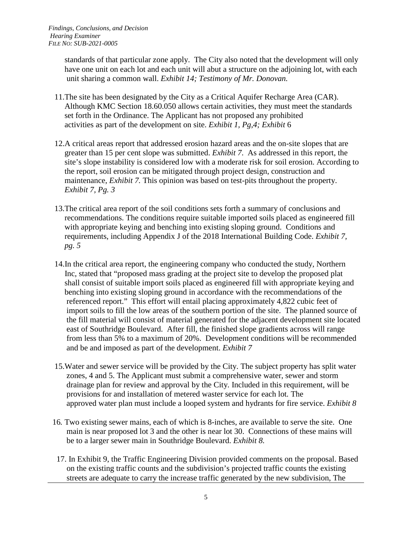standards of that particular zone apply. The City also noted that the development will only have one unit on each lot and each unit will abut a structure on the adjoining lot, with each unit sharing a common wall. *Exhibit 14; Testimony of Mr. Donovan.*

- 11.The site has been designated by the City as a Critical Aquifer Recharge Area (CAR). Although KMC Section 18.60.050 allows certain activities, they must meet the standards set forth in the Ordinance. The Applicant has not proposed any prohibited activities as part of the development on site. *Exhibit 1, Pg,4; Exhibit* 6
- 12.A critical areas report that addressed erosion hazard areas and the on-site slopes that are greater than 15 per cent slope was submitted. *Exhibit 7*. As addressed in this report, the site's slope instability is considered low with a moderate risk for soil erosion. According to the report, soil erosion can be mitigated through project design, construction and maintenance, *Exhibit 7.* This opinion was based on test-pits throughout the property. *Exhibit 7, Pg. 3*
- 13.The critical area report of the soil conditions sets forth a summary of conclusions and recommendations. The conditions require suitable imported soils placed as engineered fill with appropriate keying and benching into existing sloping ground. Conditions and requirements, including Appendix J of the 2018 International Building Code. *Exhibit 7, pg. 5*
- 14.In the critical area report, the engineering company who conducted the study, Northern Inc, stated that "proposed mass grading at the project site to develop the proposed plat shall consist of suitable import soils placed as engineered fill with appropriate keying and benching into existing sloping ground in accordance with the recommendations of the referenced report." This effort will entail placing approximately 4,822 cubic feet of import soils to fill the low areas of the southern portion of the site. The planned source of the fill material will consist of material generated for the adjacent development site located east of Southridge Boulevard. After fill, the finished slope gradients across will range from less than 5% to a maximum of 20%. Development conditions will be recommended and be and imposed as part of the development. *Exhibit 7*
- 15.Water and sewer service will be provided by the City. The subject property has split water zones, 4 and 5. The Applicant must submit a comprehensive water, sewer and storm drainage plan for review and approval by the City. Included in this requirement, will be provisions for and installation of metered waster service for each lot*.* The approved water plan must include a looped system and hydrants for fire service. *Exhibit 8*
- 16*.* Two existing sewer mains, each of which is 8-inches, are available to serve the site. One main is near proposed lot 3 and the other is near lot 30. Connections of these mains will be to a larger sewer main in Southridge Boulevard. *Exhibit 8.*
- 17. In Exhibit 9, the Traffic Engineering Division provided comments on the proposal. Based on the existing traffic counts and the subdivision's projected traffic counts the existing streets are adequate to carry the increase traffic generated by the new subdivision, The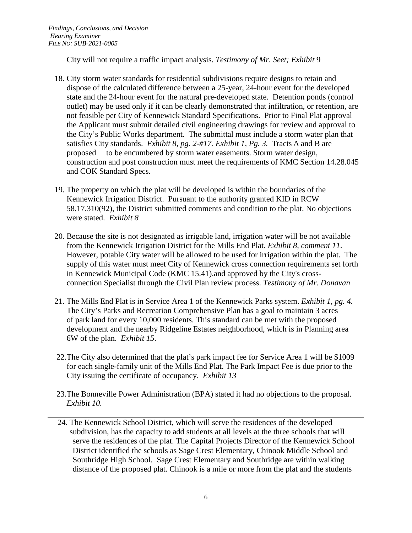City will not require a traffic impact analysis. *Testimony of Mr. Seet; Exhibit* 9

- 18. City storm water standards for residential subdivisions require designs to retain and dispose of the calculated difference between a 25-year, 24-hour event for the developed state and the 24-hour event for the natural pre-developed state. Detention ponds (control outlet) may be used only if it can be clearly demonstrated that infiltration, or retention, are not feasible per City of Kennewick Standard Specifications. Prior to Final Plat approval the Applicant must submit detailed civil engineering drawings for review and approval to the City's Public Works department. The submittal must include a storm water plan that satisfies City standards. *Exhibit 8, pg. 2-#17. Exhibit 1, Pg. 3.* Tracts A and B are proposed to be encumbered by storm water easements. Storm water design, construction and post construction must meet the requirements of KMC Section 14.28.045 and COK Standard Specs.
- 19. The property on which the plat will be developed is within the boundaries of the Kennewick Irrigation District. Pursuant to the authority granted KID in RCW 58.17.310(92), the District submitted comments and condition to the plat. No objections were stated. *Exhibit 8*
- 20. Because the site is not designated as irrigable land, irrigation water will be not available from the Kennewick Irrigation District for the Mills End Plat. *Exhibit 8, comment 11*. However, potable City water will be allowed to be used for irrigation within the plat. The supply of this water must meet City of Kennewick cross connection requirements set forth in Kennewick Municipal Code (KMC 15.41).and approved by the City's cross connection Specialist through the Civil Plan review process. *Testimony of Mr. Donavan*
- 21. The Mills End Plat is in Service Area 1 of the Kennewick Parks system. *Exhibit 1, pg. 4.* The City's Parks and Recreation Comprehensive Plan has a goal to maintain 3 acres of park land for every 10,000 residents. This standard can be met with the proposed development and the nearby Ridgeline Estates neighborhood, which is in Planning area 6W of the plan. *Exhibit 15*.
- 22.The City also determined that the plat's park impact fee for Service Area 1 will be \$1009 for each single-family unit of the Mills End Plat. The Park Impact Fee is due prior to the City issuing the certificate of occupancy. *Exhibit 13*
- 23.The Bonneville Power Administration (BPA) stated it had no objections to the proposal. *Exhibit 10.*
- 24. The Kennewick School District, which will serve the residences of the developed subdivision, has the capacity to add students at all levels at the three schools that will serve the residences of the plat. The Capital Projects Director of the Kennewick School District identified the schools as Sage Crest Elementary, Chinook Middle School and Southridge High School. Sage Crest Elementary and Southridge are within walking distance of the proposed plat. Chinook is a mile or more from the plat and the students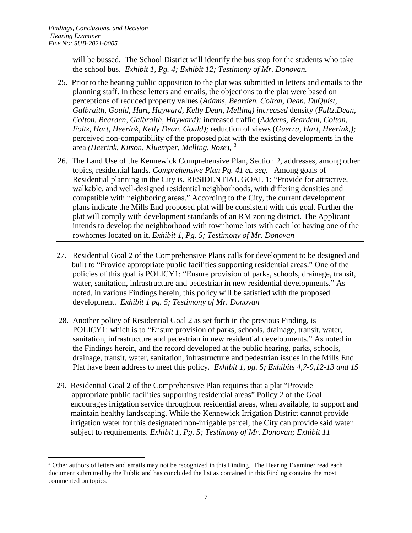will be bussed. The School District will identify the bus stop for the students who take the school bus. *Exhibit 1, Pg. 4; Exhibit 12; Testimony of Mr. Donovan.*

- 25. Prior to the hearing public opposition to the plat was submitted in letters and emails to the planning staff. In these letters and emails, the objections to the plat were based on perceptions of reduced property values (*Adams, Bearden. Colton, Dean, DuQuist, Galbraith, Gould, Hart, Hayward, Kelly Dean, Melling) increased* density (*Fultz.Dean, Colton. Bearden, Galbraith, Hayward);* increased traffic (*Addams, Beardem, Colton, Foltz, Hart, Heerink, Kelly Dean. Gould);* reduction of views (*Guerra, Hart, Heerink,);* perceived non-compatibility of the proposed plat with the existing developments in the area *(Heerink, Kitson, Kluemper, Melling, Rose*), [3](#page-6-0)
- 26. The Land Use of the Kennewick Comprehensive Plan, Section 2, addresses, among other topics, residential lands. *Comprehensive Plan Pg. 41 et. seq.* Among goals of Residential planning in the City is. RESIDENTIAL GOAL 1: "Provide for attractive, walkable, and well-designed residential neighborhoods, with differing densities and compatible with neighboring areas." According to the City, the current development plans indicate the Mills End proposed plat will be consistent with this goal. Further the plat will comply with development standards of an RM zoning district. The Applicant intends to develop the neighborhood with townhome lots with each lot having one of the rowhomes located on it. *Exhibit 1, Pg. 5; Testimony of Mr. Donovan*
- 27. Residential Goal 2 of the Comprehensive Plans calls for development to be designed and built to "Provide appropriate public facilities supporting residential areas." One of the policies of this goal is POLICY1: "Ensure provision of parks, schools, drainage, transit, water, sanitation, infrastructure and pedestrian in new residential developments." As noted, in various Findings herein, this policy will be satisfied with the proposed development. *Exhibit 1 pg. 5; Testimony of Mr. Donovan*
- 28. Another policy of Residential Goal 2 as set forth in the previous Finding, is POLICY1: which is to "Ensure provision of parks, schools, drainage, transit, water, sanitation, infrastructure and pedestrian in new residential developments." As noted in the Findings herein, and the record developed at the public hearing, parks, schools, drainage, transit, water, sanitation, infrastructure and pedestrian issues in the Mills End Plat have been address to meet this policy. *Exhibit 1, pg. 5; Exhibits 4,7-9,12-13 and 15*
- 29. Residential Goal 2 of the Comprehensive Plan requires that a plat "Provide appropriate public facilities supporting residential areas" Policy 2 of the Goal encourages irrigation service throughout residential areas, when available, to support and maintain healthy landscaping. While the Kennewick Irrigation District cannot provide irrigation water for this designated non-irrigable parcel, the City can provide said water subject to requirements. *Exhibit 1, Pg. 5; Testimony of Mr. Donovan; Exhibit 11*

<span id="page-6-0"></span><sup>&</sup>lt;sup>3</sup> Other authors of letters and emails may not be recognized in this Finding. The Hearing Examiner read each document submitted by the Public and has concluded the list as contained in this Finding contains the most commented on topics.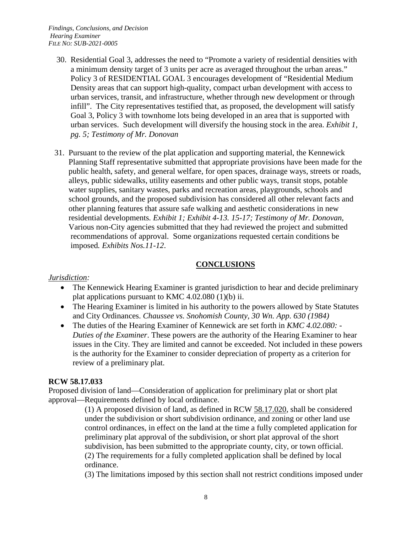- 30. Residential Goal 3, addresses the need to "Promote a variety of residential densities with a minimum density target of 3 units per acre as averaged throughout the urban areas." Policy 3 of RESIDENTIAL GOAL 3 encourages development of "Residential Medium Density areas that can support high-quality, compact urban development with access to urban services, transit, and infrastructure, whether through new development or through infill". The City representatives testified that, as proposed, the development will satisfy Goal 3, Policy 3 with townhome lots being developed in an area that is supported with urban services. Such development will diversify the housing stock in the area. *Exhibit 1, pg. 5; Testimony of Mr. Donovan*
- 31. Pursuant to the review of the plat application and supporting material, the Kennewick Planning Staff representative submitted that appropriate provisions have been made for the public health, safety, and general welfare, for open spaces, drainage ways, streets or roads, alleys, public sidewalks, utility easements and other public ways, transit stops, potable water supplies, sanitary wastes, parks and recreation areas, playgrounds, schools and school grounds, and the proposed subdivision has considered all other relevant facts and other planning features that assure safe walking and aesthetic considerations in new residential developments*. Exhibit 1; Exhibit 4-13. 15-17; Testimony of Mr. Donovan,* Various non-City agencies submitted that they had reviewed the project and submitted recommendations of approval. Some organizations requested certain conditions be imposed*. Exhibits Nos.11-12*.

# **CONCLUSIONS**

## *Jurisdiction:*

- The Kennewick Hearing Examiner is granted jurisdiction to hear and decide preliminary plat applications pursuant to KMC 4.02.080 (1)(b) ii.
- The Hearing Examiner is limited in his authority to the powers allowed by State Statutes and City Ordinances. *Chaussee vs. Snohomish County, 30 Wn. App. 630 (1984)*
- The duties of the Hearing Examiner of Kennewick are set forth in *KMC 4.02.080: - Duties of the Examiner*. These powers are the authority of the Hearing Examiner to hear issues in the City. They are limited and cannot be exceeded. Not included in these powers is the authority for the Examiner to consider depreciation of property as a criterion for review of a preliminary plat.

# **RCW 58.17.033**

Proposed division of land—Consideration of application for preliminary plat or short plat approval—Requirements defined by local ordinance.

> (1) A proposed division of land, as defined in RCW [58.17.020,](http://app.leg.wa.gov/RCW/default.aspx?cite=58.17.020) shall be considered under the subdivision or short subdivision ordinance, and zoning or other land use control ordinances, in effect on the land at the time a fully completed application for preliminary plat approval of the subdivision, or short plat approval of the short subdivision, has been submitted to the appropriate county, city, or town official. (2) The requirements for a fully completed application shall be defined by local ordinance.

(3) The limitations imposed by this section shall not restrict conditions imposed under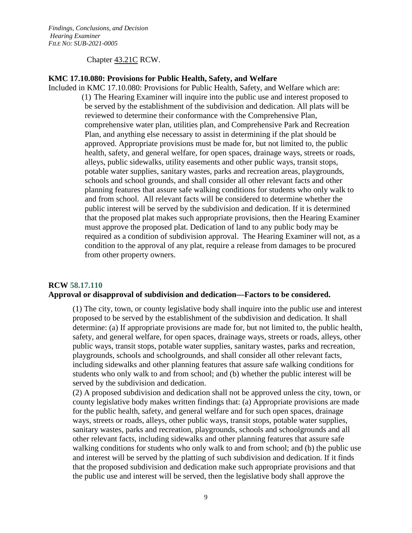Chapter [43.21C](http://app.leg.wa.gov/RCW/default.aspx?cite=43.21C) RCW.

#### **KMC 17.10.080: Provisions for Public Health, Safety, and Welfare**

Included in KMC 17.10.080: Provisions for Public Health, Safety, and Welfare which are: (1) The Hearing Examiner will inquire into the public use and interest proposed to be served by the establishment of the subdivision and dedication. All plats will be reviewed to determine their conformance with the Comprehensive Plan, comprehensive water plan, utilities plan, and Comprehensive Park and Recreation Plan, and anything else necessary to assist in determining if the plat should be approved. Appropriate provisions must be made for, but not limited to, the public health, safety, and general welfare, for open spaces, drainage ways, streets or roads, alleys, public sidewalks, utility easements and other public ways, transit stops, potable water supplies, sanitary wastes, parks and recreation areas, playgrounds, schools and school grounds, and shall consider all other relevant facts and other planning features that assure safe walking conditions for students who only walk to and from school. All relevant facts will be considered to determine whether the public interest will be served by the subdivision and dedication. If it is determined that the proposed plat makes such appropriate provisions, then the Hearing Examiner must approve the proposed plat. Dedication of land to any public body may be required as a condition of subdivision approval. The Hearing Examiner will not, as a condition to the approval of any plat, require a release from damages to be procured from other property owners.

## **RCW [58.17.110](http://app.leg.wa.gov/RCW/default.aspx?cite=58.17.110) Approval or disapproval of subdivision and dedication—Factors to be considered.**

(1) The city, town, or county legislative body shall inquire into the public use and interest proposed to be served by the establishment of the subdivision and dedication. It shall determine: (a) If appropriate provisions are made for, but not limited to, the public health, safety, and general welfare, for open spaces, drainage ways, streets or roads, alleys, other public ways, transit stops, potable water supplies, sanitary wastes, parks and recreation, playgrounds, schools and schoolgrounds, and shall consider all other relevant facts, including sidewalks and other planning features that assure safe walking conditions for students who only walk to and from school; and (b) whether the public interest will be served by the subdivision and dedication.

(2) A proposed subdivision and dedication shall not be approved unless the city, town, or county legislative body makes written findings that: (a) Appropriate provisions are made for the public health, safety, and general welfare and for such open spaces, drainage ways, streets or roads, alleys, other public ways, transit stops, potable water supplies, sanitary wastes, parks and recreation, playgrounds, schools and schoolgrounds and all other relevant facts, including sidewalks and other planning features that assure safe walking conditions for students who only walk to and from school; and (b) the public use and interest will be served by the platting of such subdivision and dedication. If it finds that the proposed subdivision and dedication make such appropriate provisions and that the public use and interest will be served, then the legislative body shall approve the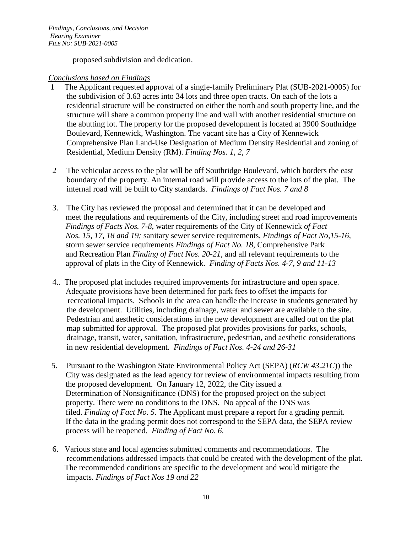proposed subdivision and dedication.

#### *Conclusions based on Findings*

- 1 The Applicant requested approval of a single-family Preliminary Plat (SUB-2021-0005) for the subdivision of 3.63 acres into 34 lots and three open tracts. On each of the lots a residential structure will be constructed on either the north and south property line, and the structure will share a common property line and wall with another residential structure on the abutting lot. The property for the proposed development is located at 3900 Southridge Boulevard, Kennewick, Washington. The vacant site has a City of Kennewick Comprehensive Plan Land-Use Designation of Medium Density Residential and zoning of Residential, Medium Density (RM). *Finding Nos. 1, 2, 7*
- 2 The vehicular access to the plat will be off Southridge Boulevard, which borders the east boundary of the property. An internal road will provide access to the lots of the plat. The internal road will be built to City standards. *Findings of Fact Nos. 7 and 8*
- 3. The City has reviewed the proposal and determined that it can be developed and meet the regulations and requirements of the City, including street and road improvements *Findings of Facts Nos. 7-8,* water requirements of the City of Kennewick *of Fact Nos. 15, 17, 18 and 19;* sanitary sewer service requirements, *Findings of Fact No,15-16,* storm sewer service requirements *Findings of Fact No. 18,* Comprehensive Park and Recreation Plan *Finding of Fact Nos. 20-21,* and all relevant requirements to the approval of plats in the City of Kennewick. *Finding of Facts Nos. 4-7, 9 and 11-13*
- 4.*.* The proposed plat includes required improvements for infrastructure and open space. Adequate provisions have been determined for park fees to offset the impacts for recreational impacts. Schools in the area can handle the increase in students generated by the development. Utilities, including drainage, water and sewer are available to the site. Pedestrian and aesthetic considerations in the new development are called out on the plat map submitted for approval. The proposed plat provides provisions for parks, schools, drainage, transit, water, sanitation, infrastructure, pedestrian, and aesthetic considerations in new residential development*. Findings of Fact Nos. 4-24 and 26-31*
- 5. Pursuant to the Washington State Environmental Policy Act (SEPA) (*RCW 43.21C*)) the City was designated as the lead agency for review of environmental impacts resulting from the proposed development. On January 12, 2022, the City issued a Determination of Nonsignificance (DNS) for the proposed project on the subject property. There were no conditions to the DNS. No appeal of the DNS was filed. *Finding of Fact No. 5*. The Applicant must prepare a report for a grading permit. If the data in the grading permit does not correspond to the SEPA data, the SEPA review process will be reopened. *Finding of Fact No. 6.*
- 6. Various state and local agencies submitted comments and recommendations. The recommendations addressed impacts that could be created with the development of the plat. The recommended conditions are specific to the development and would mitigate the impacts. *Findings of Fact Nos 19 and 22*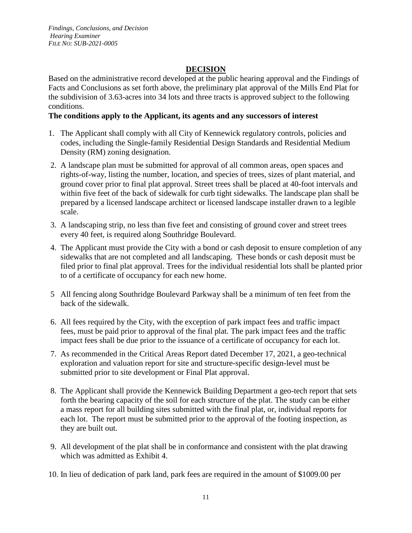# **DECISION**

Based on the administrative record developed at the public hearing approval and the Findings of Facts and Conclusions as set forth above, the preliminary plat approval of the Mills End Plat for the subdivision of 3.63-acres into 34 lots and three tracts is approved subject to the following conditions.

# **The conditions apply to the Applicant, its agents and any successors of interest**

- 1. The Applicant shall comply with all City of Kennewick regulatory controls, policies and codes, including the Single-family Residential Design Standards and Residential Medium Density (RM) zoning designation.
- 2. A landscape plan must be submitted for approval of all common areas, open spaces and rights-of-way, listing the number, location, and species of trees, sizes of plant material, and ground cover prior to final plat approval. Street trees shall be placed at 40-foot intervals and within five feet of the back of sidewalk for curb tight sidewalks. The landscape plan shall be prepared by a licensed landscape architect or licensed landscape installer drawn to a legible scale.
- 3. A landscaping strip, no less than five feet and consisting of ground cover and street trees every 40 feet, is required along Southridge Boulevard.
- 4. The Applicant must provide the City with a bond or cash deposit to ensure completion of any sidewalks that are not completed and all landscaping. These bonds or cash deposit must be filed prior to final plat approval. Trees for the individual residential lots shall be planted prior to of a certificate of occupancy for each new home.
- 5 All fencing along Southridge Boulevard Parkway shall be a minimum of ten feet from the back of the sidewalk.
- 6. All fees required by the City, with the exception of park impact fees and traffic impact fees, must be paid prior to approval of the final plat. The park impact fees and the traffic impact fees shall be due prior to the issuance of a certificate of occupancy for each lot.
- 7. As recommended in the Critical Areas Report dated December 17, 2021, a geo-technical exploration and valuation report for site and structure-specific design-level must be submitted prior to site development or Final Plat approval.
- 8. The Applicant shall provide the Kennewick Building Department a geo-tech report that sets forth the bearing capacity of the soil for each structure of the plat. The study can be either a mass report for all building sites submitted with the final plat, or, individual reports for each lot. The report must be submitted prior to the approval of the footing inspection, as they are built out.
- 9. All development of the plat shall be in conformance and consistent with the plat drawing which was admitted as Exhibit 4.
- 10. In lieu of dedication of park land, park fees are required in the amount of \$1009.00 per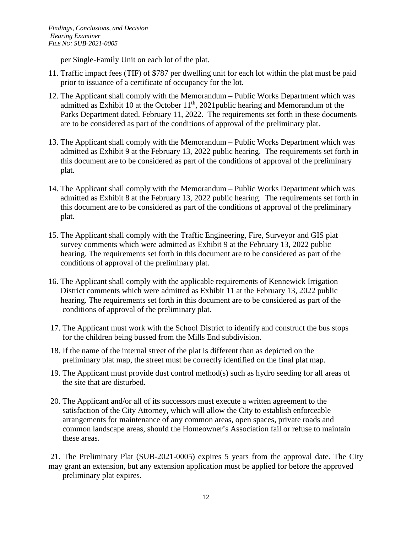per Single-Family Unit on each lot of the plat.

- 11. Traffic impact fees (TIF) of \$787 per dwelling unit for each lot within the plat must be paid prior to issuance of a certificate of occupancy for the lot.
- 12. The Applicant shall comply with the Memorandum Public Works Department which was admitted as Exhibit 10 at the October  $11<sup>th</sup>$ , 2021public hearing and Memorandum of the Parks Department dated. February 11, 2022. The requirements set forth in these documents are to be considered as part of the conditions of approval of the preliminary plat.
- 13. The Applicant shall comply with the Memorandum Public Works Department which was admitted as Exhibit 9 at the February 13, 2022 public hearing. The requirements set forth in this document are to be considered as part of the conditions of approval of the preliminary plat.
- 14. The Applicant shall comply with the Memorandum Public Works Department which was admitted as Exhibit 8 at the February 13, 2022 public hearing. The requirements set forth in this document are to be considered as part of the conditions of approval of the preliminary plat.
- 15. The Applicant shall comply with the Traffic Engineering, Fire, Surveyor and GIS plat survey comments which were admitted as Exhibit 9 at the February 13, 2022 public hearing. The requirements set forth in this document are to be considered as part of the conditions of approval of the preliminary plat.
- 16. The Applicant shall comply with the applicable requirements of Kennewick Irrigation District comments which were admitted as Exhibit 11 at the February 13, 2022 public hearing. The requirements set forth in this document are to be considered as part of the conditions of approval of the preliminary plat.
- 17. The Applicant must work with the School District to identify and construct the bus stops for the children being bussed from the Mills End subdivision.
- 18. If the name of the internal street of the plat is different than as depicted on the preliminary plat map, the street must be correctly identified on the final plat map.
- 19. The Applicant must provide dust control method(s) such as hydro seeding for all areas of the site that are disturbed.
- 20. The Applicant and/or all of its successors must execute a written agreement to the satisfaction of the City Attorney, which will allow the City to establish enforceable arrangements for maintenance of any common areas, open spaces, private roads and common landscape areas, should the Homeowner's Association fail or refuse to maintain these areas.

21. The Preliminary Plat (SUB-2021-0005) expires 5 years from the approval date. The City may grant an extension, but any extension application must be applied for before the approved preliminary plat expires.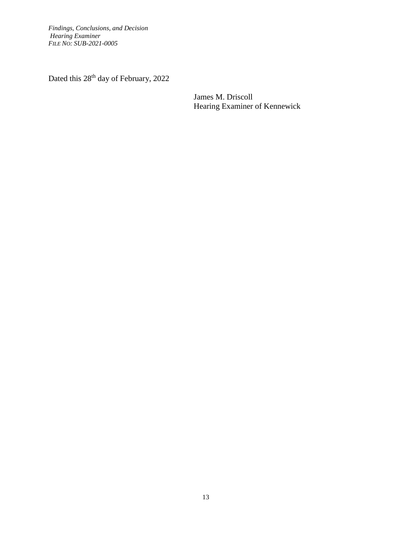Dated this 28<sup>th</sup> day of February, 2022

James M. Driscoll Hearing Examiner of Kennewick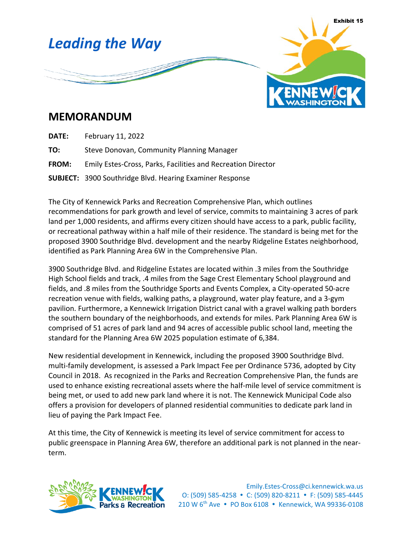

# **MEMORANDUM**

| February 11, 2022<br>DATE: |
|----------------------------|
|----------------------------|

**TO:** Steve Donovan, Community Planning Manager

**FROM:** Emily Estes-Cross, Parks, Facilities and Recreation Director

**SUBJECT:** 3900 Southridge Blvd. Hearing Examiner Response

The City of Kennewick Parks and Recreation Comprehensive Plan, which outlines recommendations for park growth and level of service, commits to maintaining 3 acres of park land per 1,000 residents, and affirms every citizen should have access to a park, public facility, or recreational pathway within a half mile of their residence. The standard is being met for the proposed 3900 Southridge Blvd. development and the nearby Ridgeline Estates neighborhood, identified as Park Planning Area 6W in the Comprehensive Plan.

3900 Southridge Blvd. and Ridgeline Estates are located within .3 miles from the Southridge High School fields and track, .4 miles from the Sage Crest Elementary School playground and fields, and .8 miles from the Southridge Sports and Events Complex, a City-operated 50-acre recreation venue with fields, walking paths, a playground, water play feature, and a 3-gym pavilion. Furthermore, a Kennewick Irrigation District canal with a gravel walking path borders the southern boundary of the neighborhoods, and extends for miles. Park Planning Area 6W is comprised of 51 acres of park land and 94 acres of accessible public school land, meeting the standard for the Planning Area 6W 2025 population estimate of 6,384.

New residential development in Kennewick, including the proposed 3900 Southridge Blvd. multi-family development, is assessed a Park Impact Fee per Ordinance 5736, adopted by City Council in 2018. As recognized in the Parks and Recreation Comprehensive Plan, the funds are used to enhance existing recreational assets where the half-mile level of service commitment is being met, or used to add new park land where it is not. The Kennewick Municipal Code also offers a provision for developers of planned residential communities to dedicate park land in lieu of paying the Park Impact Fee.

At this time, the City of Kennewick is meeting its level of service commitment for access to public greenspace in Planning Area 6W, therefore an additional park is not planned in the nearterm.

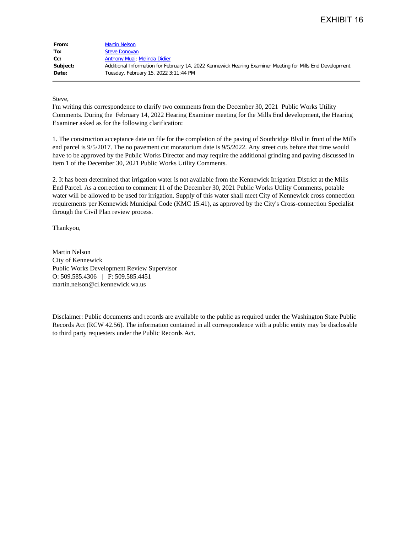| From:    | <b>Martin Nelson</b>                                                                                      |
|----------|-----------------------------------------------------------------------------------------------------------|
| To:      | <b>Steve Donovan</b>                                                                                      |
| $Cc$ :   | <b>Anthony Muai</b> , Melinda Didier                                                                      |
| Subject: | Additional Information for February 14, 2022 Kennewick Hearing Examiner Meeting for Mills End Development |
| Date:    | Tuesday, February 15, 2022 3:11:44 PM                                                                     |

Steve,

I'm writing this correspondence to clarify two comments from the December 30, 2021 Public Works Utility Comments. During the February 14, 2022 Hearing Examiner meeting for the Mills End development, the Hearing Examiner asked as for the following clarification:

1. The construction acceptance date on file for the completion of the paving of Southridge Blvd in front of the Mills end parcel is 9/5/2017. The no pavement cut moratorium date is 9/5/2022. Any street cuts before that time would have to be approved by the Public Works Director and may require the additional grinding and paving discussed in item 1 of the December 30, 2021 Public Works Utility Comments.

2. It has been determined that irrigation water is not available from the Kennewick Irrigation District at the Mills End Parcel. As a correction to comment 11 of the December 30, 2021 Public Works Utility Comments, potable water will be allowed to be used for irrigation. Supply of this water shall meet City of Kennewick cross connection requirements per Kennewick Municipal Code (KMC 15.41), as approved by the City's Cross-connection Specialist through the Civil Plan review process.

Thankyou,

Martin Nelson City of Kennewick Public Works Development Review Supervisor O: 509.585.4306 | F: 509.585.4451 martin.nelson@ci.kennewick.wa.us

Disclaimer: Public documents and records are available to the public as required under the Washington State Public Records Act (RCW 42.56). The information contained in all correspondence with a public entity may be disclosable to third party requesters under the Public Records Act.